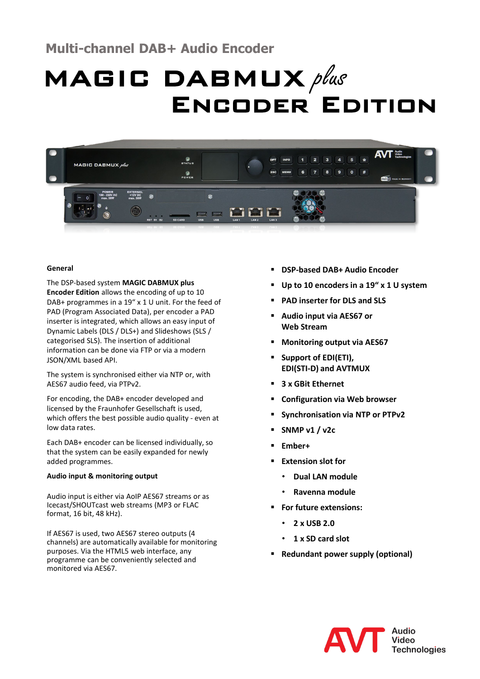# **Multi-channel DAB+ Audio Encoder**

# $MAGIC$   $DABMUX$  plus Encoder Edition



# **General**

The DSP-based system **MAGIC DABMUX plus Encoder Edition** allows the encoding of up to 10 DAB+ programmes in a 19" x 1 U unit. For the feed of PAD (Program Associated Data), per encoder a PAD inserter is integrated, which allows an easy input of Dynamic Labels (DLS / DLS+) and Slideshows (SLS / categorised SLS). The insertion of additional information can be done via FTP or via a modern JSON/XML based API.

The system is synchronised either via NTP or, with AES67 audio feed, via PTPv2.

For encoding, the DAB+ encoder developed and licensed by the Fraunhofer Gesellschaft is used, which offers the best possible audio quality - even at low data rates.

Each DAB+ encoder can be licensed individually, so that the system can be easily expanded for newly added programmes.

# **Audio input & monitoring output**

Audio input is either via AoIP AES67 streams or as Icecast/SHOUTcast web streams (MP3 or FLAC format, 16 bit, 48 kHz).

If AES67 is used, two AES67 stereo outputs (4 channels) are automatically available for monitoring purposes. Via the HTML5 web interface, any programme can be conveniently selected and monitored via AES67.

- **DSP-based DAB+ Audio Encoder**
- **Up to 10 encoders in a 19" x 1 U system**
- **PAD inserter for DLS and SLS**
- **Audio input via AES67 or Web Stream**
- **Monitoring output via AES67**
- **Support of EDI(ETI), EDI(STI-D) and AVTMUX**
- **3 x GBit Ethernet**
- **Configuration via Web browser**
- **Synchronisation via NTP or PTPv2**
- **SNMP v1 / v2c**
- **Ember+**
- **Extension slot for**
	- **Dual LAN module**
	- **Ravenna module**
- **For future extensions:**
	- **2 x USB 2.0**
	- **1 x SD card slot**
- **Redundant power supply (optional)**